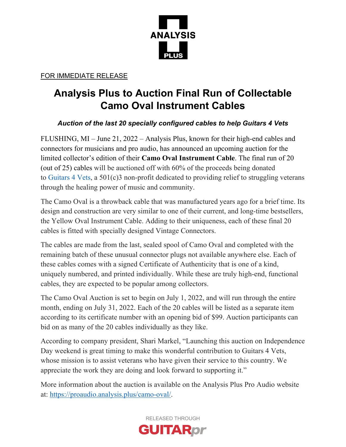

FOR IMMEDIATE RELEASE

## **Analysis Plus to Auction Final Run of Collectable Camo Oval Instrument Cables**

## *Auction of the last 20 specially configured cables to help Guitars 4 Vets*

FLUSHING, MI – June 21, 2022 – Analysis Plus, known for their high-end cables and connectors for musicians and pro audio, has announced an upcoming auction for the limited collector's edition of their **Camo Oval Instrument Cable**. The final run of 20 (out of 25) cables will be auctioned off with 60% of the proceeds being donated to [Guitars 4 Vets,](https://guitars4vets.org/) a 501(c)3 non-profit dedicated to providing relief to struggling veterans through the healing power of music and community.

The Camo Oval is a throwback cable that was manufactured years ago for a brief time. Its design and construction are very similar to one of their current, and long-time bestsellers, the Yellow Oval Instrument Cable. Adding to their uniqueness, each of these final 20 cables is fitted with specially designed Vintage Connectors.

The cables are made from the last, sealed spool of Camo Oval and completed with the remaining batch of these unusual connector plugs not available anywhere else. Each of these cables comes with a signed Certificate of Authenticity that is one of a kind, uniquely numbered, and printed individually. While these are truly high-end, functional cables, they are expected to be popular among collectors.

The Camo Oval Auction is set to begin on July 1, 2022, and will run through the entire month, ending on July 31, 2022. Each of the 20 cables will be listed as a separate item according to its certificate number with an opening bid of \$99. Auction participants can bid on as many of the 20 cables individually as they like.

According to company president, Shari Markel, "Launching this auction on Independence Day weekend is great timing to make this wonderful contribution to Guitars 4 Vets, whose mission is to assist veterans who have given their service to this country. We appreciate the work they are doing and look forward to supporting it."

More information about the auction is available on the Analysis Plus Pro Audio website at: [https://proaudio.analysis.plus/camo-oval/.](https://proaudio.analysis.plus/camo-oval/)